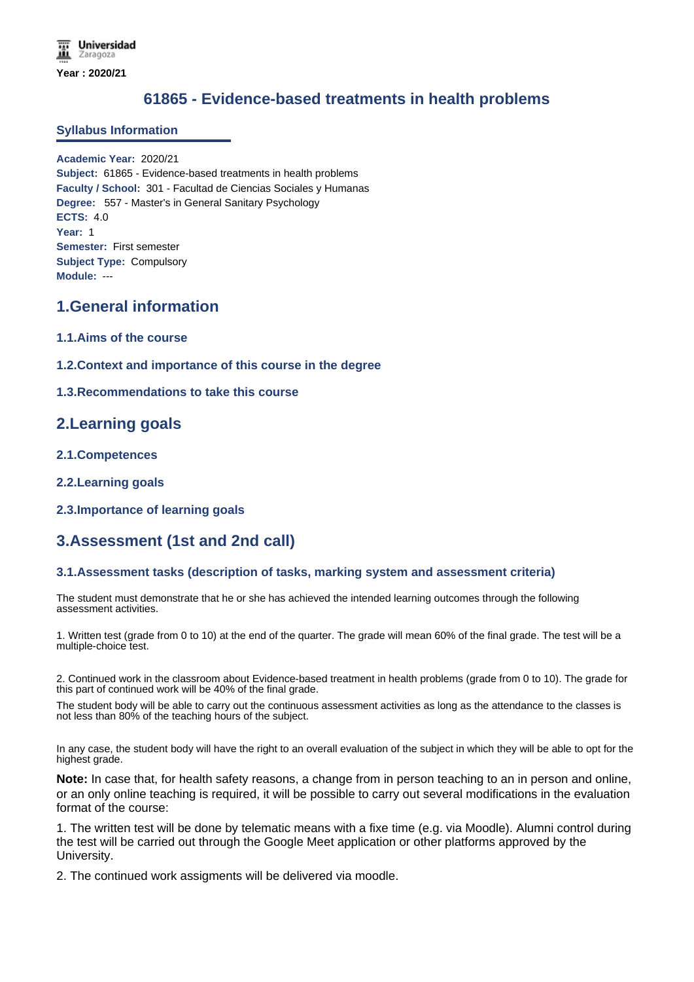# **61865 - Evidence-based treatments in health problems**

## **Syllabus Information**

**Academic Year:** 2020/21 **Subject:** 61865 - Evidence-based treatments in health problems **Faculty / School:** 301 - Facultad de Ciencias Sociales y Humanas **Degree:** 557 - Master's in General Sanitary Psychology **ECTS:** 4.0 **Year:** 1 **Semester:** First semester **Subject Type:** Compulsory **Module:** ---

# **1.General information**

- **1.1.Aims of the course**
- **1.2.Context and importance of this course in the degree**

### **1.3.Recommendations to take this course**

## **2.Learning goals**

- **2.1.Competences**
- **2.2.Learning goals**
- **2.3.Importance of learning goals**

# **3.Assessment (1st and 2nd call)**

### **3.1.Assessment tasks (description of tasks, marking system and assessment criteria)**

The student must demonstrate that he or she has achieved the intended learning outcomes through the following assessment activities.

1. Written test (grade from 0 to 10) at the end of the quarter. The grade will mean 60% of the final grade. The test will be a multiple-choice test.

2. Continued work in the classroom about Evidence-based treatment in health problems (grade from 0 to 10). The grade for this part of continued work will be 40% of the final grade.

The student body will be able to carry out the continuous assessment activities as long as the attendance to the classes is not less than 80% of the teaching hours of the subject.

In any case, the student body will have the right to an overall evaluation of the subject in which they will be able to opt for the highest grade.

**Note:** In case that, for health safety reasons, a change from in person teaching to an in person and online, or an only online teaching is required, it will be possible to carry out several modifications in the evaluation format of the course:

1. The written test will be done by telematic means with a fixe time (e.g. via Moodle). Alumni control during the test will be carried out through the Google Meet application or other platforms approved by the University.

2. The continued work assigments will be delivered via moodle.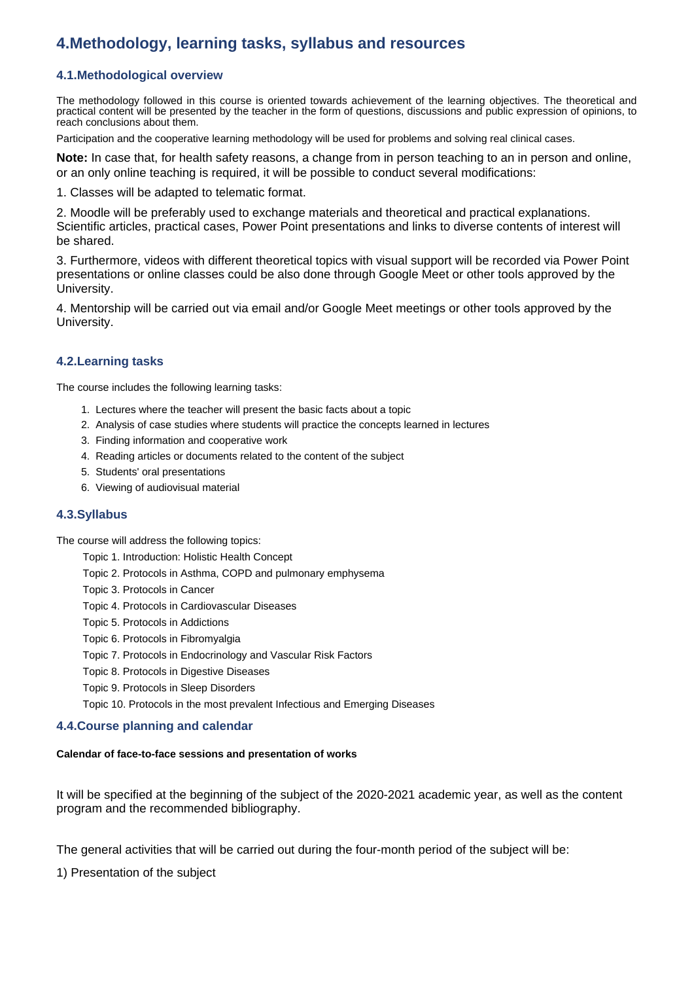# **4.Methodology, learning tasks, syllabus and resources**

## **4.1.Methodological overview**

The methodology followed in this course is oriented towards achievement of the learning objectives. The theoretical and practical content will be presented by the teacher in the form of questions, discussions and public expression of opinions, to reach conclusions about them.

Participation and the cooperative learning methodology will be used for problems and solving real clinical cases.

**Note:** In case that, for health safety reasons, a change from in person teaching to an in person and online, or an only online teaching is required, it will be possible to conduct several modifications:

1. Classes will be adapted to telematic format.

2. Moodle will be preferably used to exchange materials and theoretical and practical explanations. Scientific articles, practical cases, Power Point presentations and links to diverse contents of interest will be shared.

3. Furthermore, videos with different theoretical topics with visual support will be recorded via Power Point presentations or online classes could be also done through Google Meet or other tools approved by the University.

4. Mentorship will be carried out via email and/or Google Meet meetings or other tools approved by the University.

## **4.2.Learning tasks**

The course includes the following learning tasks:

- 1. Lectures where the teacher will present the basic facts about a topic
- 2. Analysis of case studies where students will practice the concepts learned in lectures
- 3. Finding information and cooperative work
- 4. Reading articles or documents related to the content of the subject
- 5. Students' oral presentations
- 6. Viewing of audiovisual material

### **4.3.Syllabus**

The course will address the following topics:

- Topic 1. Introduction: Holistic Health Concept
- Topic 2. Protocols in Asthma, COPD and pulmonary emphysema
- Topic 3. Protocols in Cancer
- Topic 4. Protocols in Cardiovascular Diseases
- Topic 5. Protocols in Addictions
- Topic 6. Protocols in Fibromyalgia
- Topic 7. Protocols in Endocrinology and Vascular Risk Factors
- Topic 8. Protocols in Digestive Diseases
- Topic 9. Protocols in Sleep Disorders

Topic 10. Protocols in the most prevalent Infectious and Emerging Diseases

### **4.4.Course planning and calendar**

#### **Calendar of face-to-face sessions and presentation of works**

It will be specified at the beginning of the subject of the 2020-2021 academic year, as well as the content program and the recommended bibliography.

The general activities that will be carried out during the four-month period of the subject will be:

1) Presentation of the subject